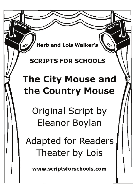**Herb and Lois Walker's** 

# **SCRIPTS FOR SCHOOLS**

# **The City Mouse and** the Country Mouse

Original Script by Eleanor Boylan

**Adapted for Readers** Theater by Lois

www.scriptsforschools.com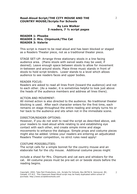#### **By Lois Walker 3 readers, 7 ½ script pages**

## **READER 1: Phoebe READER 2: Mrs. Chipmunk/The Cat READER 3: Valerie**

This script is meant to be read aloud and has been blocked or staged as a Readers Theater piece, not as a traditional theater piece.

STAGE SET-UP: Arrange three stationary stools in a line facing audience area. (Piano stools with swivel seats may be used, if desired). Leave enough space between stools to allow for movement in-between and around stools. Place three music stands in front of stools to hold script binders. Lower stands to a level which allows audience to see readers faces and upper bodies.

#### READER FOCUS:

Readers are asked to read all lines front (toward the audience) and not to each other. (As a reader, it is sometimes helpful to look just above the heads of the audience members and address all lines there).

#### ACTION AND MOVEMENT:

All mimed action is also directed to the audience. No traditional theater blocking is used. After each character enters for the first time, each remains on stage throughout the entire reading and simply turns his or her back to the audience and sits when not in the immediate scene.

#### DIRECTOR/READER OPTIONS:

However, if you do not wish to read the script as described above, ask your readers to read-aloud while relating to and establishing eye contact with each other, and create simple mime and stage movements to enhance the dialogue. Simple props and costume pieces might also be added. Unless your readers are entering an adjudicated Readers Theater competition, no strict rules need apply!

#### COSTUME POSSIBILITIES:

The script calls for a simple bonnet for the country mouse and an elaborate hat for the city mouse. Additional costume pieces might

include a shawl for Mrs. Chipmunk and cat ears and whiskers for the cat. All costume pieces must be pre-set on or beside stools before the reading begins.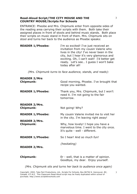ENTRANCE: Pheobe and Mrs. Chipmunk enter from opposite sides of the reading area carrying their scripts with them. Both take their assigned places in front of stools and behind music stands. Both place their scripts on music stand in front of them. Mrs. Chipmunk sits on stool and turns her back to the audience as Phoebe speaks:

| I'm so excited! I've just received an<br>invitation from my cousin Valerie who<br>lives in the city! I've never been in the<br>city, but I hear it's very glamorous and<br>exciting. Oh, I can't wait! I'd better get<br>ready. Let's see I guess I won't bake<br>today after all! |
|------------------------------------------------------------------------------------------------------------------------------------------------------------------------------------------------------------------------------------------------------------------------------------|
|                                                                                                                                                                                                                                                                                    |
|                                                                                                                                                                                                                                                                                    |

*(Mrs. Chipmunk turns to face audience, stands, and reads):* 

| <b>READER 2/Mrs</b><br><b>Chipmunk:</b>  | Good morning, Phoebe. I've brought that<br>recipe you wanted.                                                    |
|------------------------------------------|------------------------------------------------------------------------------------------------------------------|
| <b>READER 1/Phoebe:</b>                  | Thank you, Mrs. Chipmunk, but I won't<br>need it. I'm not going to the fair<br>tomorrow.                         |
| <b>READER 2/Mrs.</b><br><b>Chipmunk:</b> | Not going! Why?                                                                                                  |
| <b>READER 1/Phoebe:</b>                  | My cousin Valerie invited me to visit her<br>in the city. I'm leaving right away!                                |
| <b>READER 2/Mrs.</b><br><b>Chipmunk:</b> | Why, how lovely! I hope you have a<br>marvelous time. I went to the city once.<br>It's quite - well - different. |
| <b>READER 1/Phoebe:</b>                  | So I hear! And so much fun!                                                                                      |
| <b>READER 2/Mrs.</b>                     | (hesitating)                                                                                                     |
| <b>Chipmunk:</b>                         | Er - well, that is a matter of opinion.<br>Goodbye, my dear. Enjoy yourself.                                     |

*(Mrs. Chipmunk sits and turns her back to audience once again)* 

Copyright: 2002, Take Part Productions, Ltd., Scripts For Schools, Box 86756 N. Vancouver, BC, Canada, V7l 4L3. This Classroom Read-Aloud script may be freely duplicated within school of purchase. http://www.scriptsforschools.com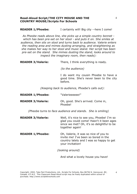### **READER 1/Phoebe:** I certainly will! Big city --here I come!

*As Pheobe reads above line, she picks up a simple country bonnet which has been pre-set on her stool - and puts it on. She smiles at audience, then sits on stool and turns back to audience. Valerie enters the reading area and mimes dusting arranging, and straightening as she makes her way to her stool and music stand. Her script has been pre-set on the stand. She mimes dusting the stand, looks around to inspect the imaginary room, then reads):* 

**READER 3/Valerie:** There, I think everything is ready.

*(to the audience)* 

I do want my cousin Phoebe to have a good time. She's never been to the city before.

*(Keeping back to audience, Phoebe's calls out):* 

| <b>READER 1/Phoebe:</b>  | "Valerieeeeee!"                              |
|--------------------------|----------------------------------------------|
| <b>READER 3/Valerie:</b> | Oh, good. She's arrived. Come in,<br>Phoebe! |

*(Pheobe turns to face audience and stands. She is smiling)* 

**READER 3/Valerie:** Well, it's nice to see you, Phoebe! I'm so glad you could come! Hasn't it been ages since we met? Oh, it's so delightful to be together again!

**READER 1/Phoebe:** Oh, Valerie, it was so nice of you to invite me! I've been so bored in the country lately and I was so happy to get your invitation!

*(looking around)* 

And what a lovely house you have!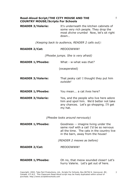| <b>READER 3/Valerie:</b> | It's underneath the kitchen cabinets of         |
|--------------------------|-------------------------------------------------|
|                          | some very rich people. They drop the            |
|                          | most <i>divine</i> crumbs! Now, let's sit right |
|                          | down                                            |

*(Keeping back to audience, READER 2 calls out):* 

| <b>READER 2/Cat:</b> | <b>MEOOOWWW!</b> |
|----------------------|------------------|
|                      |                  |

*(Phoebe jumps. She is very afraid)* 

| What - w-what was that?                                                                                                                   |
|-------------------------------------------------------------------------------------------------------------------------------------------|
| (exasperated)                                                                                                                             |
| That pesky cat! I thought they put him<br>outside!                                                                                        |
| You mean a cat lives here?                                                                                                                |
| Yes, and the people who live here adore<br>him and spoil him. We'd better not take<br>any chances. Let's go shopping. I'll get<br>my hat. |
|                                                                                                                                           |

*(Pheobe looks around nervously)* 

| <b>READER 1/Phoebe:</b> | Goodness -- imagine living under the<br>same roof with a cat! I'd be so nervous<br>all the time. The cats in the country live<br>in the barn, away from the house! |
|-------------------------|--------------------------------------------------------------------------------------------------------------------------------------------------------------------|
|                         | (READER 2 meows as before)                                                                                                                                         |
| <b>READER 2/Cat:</b>    | <i>MEOOOWWW!</i>                                                                                                                                                   |
| <b>READER 1/Phoebe:</b> | Oh no, that meow sounded closer! Let's<br>hurry Valerie. Let's get out of here.                                                                                    |

5